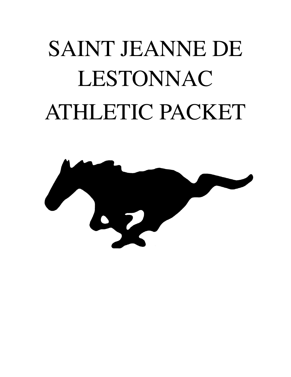# SAINT JEANNE DE LESTONNAC ATHLETIC PACKET

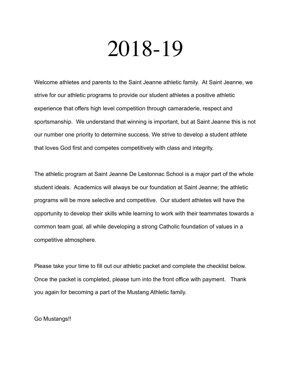## 2018-19

Welcome athletes and parents to the Saint Jeanne athletic family. At Saint Jeanne, we strive for our athletic programs to provide our student athletes a positive athletic experience that offers high level competition through camaraderie, respect and sportsmanship. We understand that winning is important, but at Saint Jeanne this is not our number one priority to determine success. We strive to develop a student athlete that loves God first and competes competitively with class and integrity.

The athletic program at Saint Jeanne De Lestonnac School is a major part of the whole student ideals. Academics will always be our foundation at Saint Jeanne; the athletic programs will be more selective and competitive. Our student athletes will have the opportunity to develop their skills while learning to work with their teammates towards a common team goal, all while developing a strong Catholic foundation of values in a competitive atmosphere.

Please take your time to fill out our athletic packet and complete the checklist below. Once the packet is completed, please turn into the front office with payment. Thank you again for becoming a part of the Mustang Athletic family.

Go Mustangs!!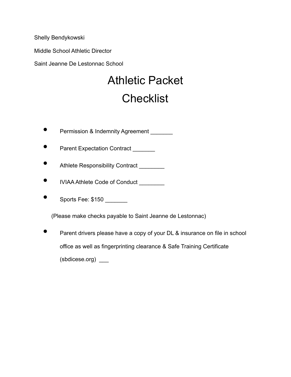Shelly Bendykowski

Middle School Athletic Director

Saint Jeanne De Lestonnac School

## Athletic Packet **Checklist**

- **•** Permission & Indemnity Agreement **Property**
- Parent Expectation Contract
- Athlete Responsibility Contract
- IVIAA Athlete Code of Conduct \_\_\_\_\_\_\_\_
- Sports Fee: \$150

(Please make checks payable to Saint Jeanne de Lestonnac)

• Parent drivers please have a copy of your DL & insurance on file in school office as well as fingerprinting clearance & Safe Training Certificate (sbdicese.org) \_\_\_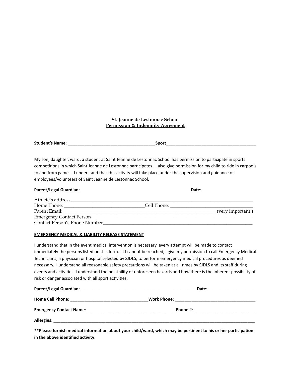#### **St. Jeanne de Lestonnac School Permission & Indemnity Agreement**

**Student's Name:** The student's Name:

My son, daughter, ward, a student at Saint Jeanne de Lestonnac School has permission to participate in sports competitions in which Saint Jeanne de Lestonnac participates. I also give permission for my child to ride in carpools to and from games. I understand that this activity will take place under the supervision and guidance of employees/volunteers of Saint Jeanne de Lestonnac School.

|                                                                                                                                                                                                                               |             | Date: |                   |
|-------------------------------------------------------------------------------------------------------------------------------------------------------------------------------------------------------------------------------|-------------|-------|-------------------|
| Athlete's address                                                                                                                                                                                                             |             |       |                   |
|                                                                                                                                                                                                                               | Cell Phone: |       |                   |
| Parent Email: The contract of the contract of the contract of the contract of the contract of the contract of the contract of the contract of the contract of the contract of the contract of the contract of the contract of |             |       | (very important!) |
| Emergency Contact Person                                                                                                                                                                                                      |             |       |                   |
| Contact Person's Phone Number                                                                                                                                                                                                 |             |       |                   |

#### **EMERGENCY MEDICAL & LIABILITY RELEASE STATEMENT**

I understand that in the event medical intervention is necessary, every attempt will be made to contact immediately the persons listed on this form. If I cannot be reached, I give my permission to call Emergency Medical Technicians, a physician or hospital selected by SJDLS, to perform emergency medical procedures as deemed necessary. I understand all reasonable safety precautions will be taken at all times by SJDLS and its staff during events and activities. I understand the possibility of unforeseen hazards and how there is the inherent possibility of risk or danger associated with all sport activities.

| <b>Parent/Legal Guardian:</b><br><u> 1989 - John Stone, mars et al. 1989 - Ann an Dùbhlachd ann an t-</u>               | Date:                                                                                                                                                                                                                              |
|-------------------------------------------------------------------------------------------------------------------------|------------------------------------------------------------------------------------------------------------------------------------------------------------------------------------------------------------------------------------|
|                                                                                                                         |                                                                                                                                                                                                                                    |
| <b>Emergency Contact Name:</b> Name: 2008 2018 2019 2022 2023 2024 2022 2023 2024 2022 2023 2024 2022 2023 2024 2022 20 | <b>Phone #:</b> and a set of the set of the set of the set of the set of the set of the set of the set of the set of the set of the set of the set of the set of the set of the set of the set of the set of the set of the set of |
| Allergies:                                                                                                              |                                                                                                                                                                                                                                    |

\*\*Please furnish medical information about your child/ward, which may be pertinent to his or her participation in the above identified activity: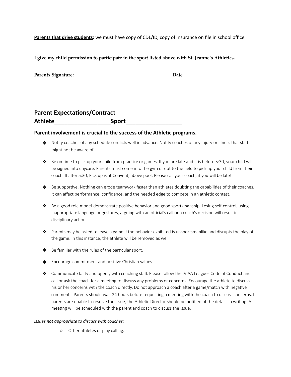**Parents that drive students:** we must have copy of CDL/ID, copy of insurance on file in school office.

**I give my child permission to participate in the sport listed above with St. Jeanne's Athletics.** 

| <b>Parents Signature:</b> | Jate |
|---------------------------|------|
|                           |      |

#### **Parent Expectations/Contract** Athlete **Athlete** *Construction* **Sport**

#### Parent involvement is crucial to the success of the Athletic programs.

- ◆ Notify coaches of any schedule conflicts well in advance. Notify coaches of any injury or illness that staff might not be aware of.
- $\clubsuit$  Be on time to pick up your child from practice or games. If you are late and it is before 5:30, your child will be signed into daycare. Parents must come into the gym or out to the field to pick up your child from their coach. If after 5:30, Pick up is at Convent, above pool. Please call your coach, if you will be late!
- $\clubsuit$  Be supportive. Nothing can erode teamwork faster than athletes doubting the capabilities of their coaches. It can affect performance, confidence, and the needed edge to compete in an athletic contest.
- $\bullet$  Be a good role model-demonstrate positive behavior and good sportsmanship. Losing self-control, using inappropriate language or gestures, arguing with an official's call or a coach's decision will result in disciplinary action.
- ❖ Parents may be asked to leave a game if the behavior exhibited is unsportsmanlike and disrupts the play of the game. In this instance, the athlete will be removed as well.
- $\triangle$  Be familiar with the rules of the particular sport.
- $\triangle$  Encourage commitment and positive Christian values
- ❖ Communicate fairly and openly with coaching staff. Please follow the IVIAA Leagues Code of Conduct and call or ask the coach for a meeting to discuss any problems or concerns. Encourage the athlete to discuss his or her concerns with the coach directly. Do not approach a coach after a game/match with negative comments. Parents should wait 24 hours before requesting a meeting with the coach to discuss concerns. If parents are unable to resolve the issue, the Athletic Director should be notified of the details in writing. A meeting will be scheduled with the parent and coach to discuss the issue.

#### *Issues not appropriate to discuss with coaches:*

o Other athletes or play calling.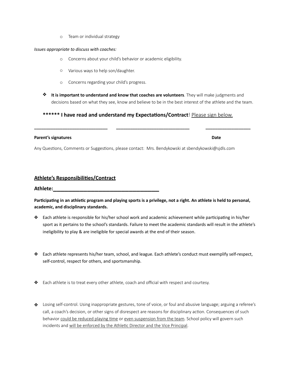o Team or individual strategy

#### *Issues appropriate to discuss with coaches:*

- o Concerns about your child's behavior or academic eligibility.
- o Various ways to help son/daughter.
- o Concerns regarding your child's progress.
- **❖** It is important to understand and know that coaches are volunteers. They will make judgments and decisions based on what they see, know and believe to be in the best interest of the athlete and the team.

#### \*\*\*\*\*\* I have read and understand my Expectations/Contract! Please sign below.

**\_\_\_\_\_\_\_\_\_\_\_\_\_\_\_\_\_\_\_\_\_\_\_\_\_\_\_\_\_\_\_ \_\_\_\_\_\_\_\_\_\_\_\_\_\_\_\_\_\_\_\_\_\_\_\_\_\_\_\_\_\_\_ \_\_\_\_\_\_\_\_\_\_\_\_\_\_\_\_\_\_\_** 

#### **Parent's signatures Date**

Any Questions, Comments or Suggestions, please contact: Mrs. Bendykowski at sbendykowski@sjdls.com

#### **Athlete's Responsibilities/Contract**

**Athlete:\_\_\_\_\_\_\_\_\_\_\_\_\_\_\_\_\_\_\_\_\_\_\_\_\_\_\_\_** 

Participating in an athletic program and playing sports is a privilege, not a right. An athlete is held to personal, academic, and disciplinary standards.

- ◆ Each athlete is responsible for his/her school work and academic achievement while participating in his/her sport as it pertains to the school's standards. Failure to meet the academic standards will result in the athlete's ineligibility to play & are ineligible for special awards at the end of their season.
- ❖ Each athlete represents his/her team, school, and league. Each athlete's conduct must exemplify self-respect, self-control, respect for others, and sportsmanship.
- ❖ Each athlete is to treat every other athlete, coach and official with respect and courtesy.
- ❖ Losing self-control. Using inappropriate gestures, tone of voice, or foul and abusive language; arguing a referee's call, a coach's decision, or other signs of disrespect are reasons for disciplinary action. Consequences of such behavior could be reduced playing time or even suspension from the team. School policy will govern such incidents and will be enforced by the Athletic Director and the Vice Principal.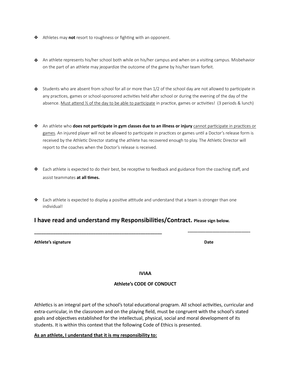- **❖** Athletes may **not** resort to roughness or fighting with an opponent.
- ◆ An athlete represents his/her school both while on his/her campus and when on a visiting campus. Misbehavior on the part of an athlete may jeopardize the outcome of the game by his/her team forfeit.
- $\clubsuit$  Students who are absent from school for all or more than  $1/2$  of the school day are not allowed to participate in any practices, games or school-sponsored activities held after school or during the evening of the day of the absence. Must attend  $\frac{1}{2}$  of the day to be able to participate in practice, games or activities! (3 periods & lunch)
- **❖** An athlete who **does not participate in gym classes due to an illness or injury** cannot participate in practices or games. An injured player will not be allowed to participate in practices or games until a Doctor's release form is received by the Athletic Director stating the athlete has recovered enough to play. The Athletic Director will report to the coaches when the Doctor's release is received.
- ◆ Each athlete is expected to do their best, be receptive to feedback and guidance from the coaching staff, and assist teammates **at all times.**
- $\triangle$  Each athlete is expected to display a positive attitude and understand that a team is stronger than one individual!

#### **I have read and understand my Responsibilities/Contract.** Please sign below.

#### Athlete's signature **business and the set of the set of the set of the set of the set of the set of the set of the set of the set of the set of the set of the set of the set of the set of the set of the set of the set of t**

**IVIAA** 

**\_\_\_\_\_\_\_\_\_\_\_\_\_\_\_\_\_\_\_\_\_\_\_\_\_\_\_\_\_\_\_\_\_\_\_\_\_\_\_\_\_\_\_\_\_\_\_\_\_\_\_\_\_\_ -------------------------------------------** 

#### **Athlete's CODE OF CONDUCT**

Athletics is an integral part of the school's total educational program. All school activities, curricular and extra-curricular, in the classroom and on the playing field, must be congruent with the school's stated goals and objectives established for the intellectual, physical, social and moral development of its students. It is within this context that the following Code of Ethics is presented.

#### As an athlete, I understand that it is my responsibility to: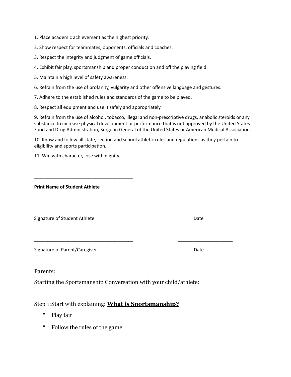1. Place academic achievement as the highest priority.

2. Show respect for teammates, opponents, officials and coaches.

3. Respect the integrity and judgment of game officials.

4. Exhibit fair play, sportsmanship and proper conduct on and off the playing field.

5. Maintain a high level of safety awareness.

6. Refrain from the use of profanity, vulgarity and other offensive language and gestures.

7. Adhere to the established rules and standards of the game to be played.

\_\_\_\_\_\_\_\_\_\_\_\_\_\_\_\_\_\_\_\_\_\_\_\_\_\_\_\_\_\_\_\_\_\_\_\_\_\_ 

8. Respect all equipment and use it safely and appropriately.

9. Refrain from the use of alcohol, tobacco, illegal and non-prescriptive drugs, anabolic steroids or any substance to increase physical development or performance that is not approved by the United States Food and Drug Administration, Surgeon General of the United States or American Medical Association.

10. Know and follow all state, section and school athletic rules and regulations as they pertain to eligibility and sports participation.

\_\_\_\_\_\_\_\_\_\_\_\_\_\_\_\_\_\_\_\_\_\_\_\_\_\_\_\_\_\_\_\_\_\_\_\_\_\_ \_\_\_\_\_\_\_\_\_\_\_\_\_\_\_\_\_\_\_\_\_ 

\_\_\_\_\_\_\_\_\_\_\_\_\_\_\_\_\_\_\_\_\_\_\_\_\_\_\_\_\_\_\_\_\_\_\_\_\_\_ \_\_\_\_\_\_\_\_\_\_\_\_\_\_\_\_\_\_\_\_\_ 

11. Win with character, lose with dignity.

**Print Name of Student Athlete** 

Signature of Student Athlete Date 

Signature of Parent/Caregiver Date 

Parents:

Starting the Sportsmanship Conversation with your child/athlete:

#### Step 1: Start with explaining: **What is Sportsmanship?**

- Play fair
- Follow the rules of the game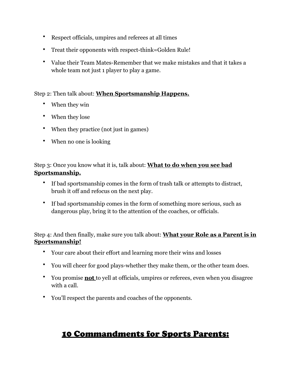- Respect officials, umpires and referees at all times
- Treat their opponents with respect-think=Golden Rule!
- Value their Team Mates-Remember that we make mistakes and that it takes a whole team not just 1 player to play a game.

#### Step 2: Then talk about: **When Sportsmanship Happens.**

- When they win
- When they lose
- When they practice (not just in games)
- When no one is looking

#### Step 3: Once you know what it is, talk about: **What to do when you see bad Sportsmanship.**

- If bad sportsmanship comes in the form of trash talk or attempts to distract, brush it off and refocus on the next play.
- If bad sportsmanship comes in the form of something more serious, such as dangerous play, bring it to the attention of the coaches, or officials.

Step 4: And then finally, make sure you talk about: **What your Role as a Parent is in Sportsmanship!** 

- Your care about their effort and learning more their wins and losses
- You will cheer for good plays-whether they make them, or the other team does.
- You promise **not** to yell at officials, umpires or referees, even when you disagree with a call.
- You'll respect the parents and coaches of the opponents.

### 10 Commandments for Sports Parents: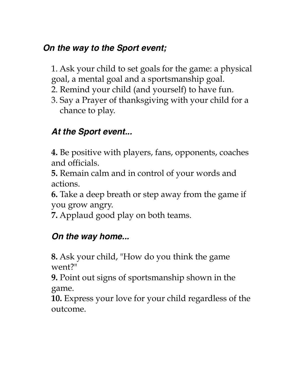## *On the way to the Sport event;*

1. Ask your child to set goals for the game: a physical goal, a mental goal and a sportsmanship goal.

- 2. Remind your child (and yourself) to have fun.
- 3. Say a Prayer of thanksgiving with your child for a chance to play.

## *At the Sport event...*

**4.** Be positive with players, fans, opponents, coaches and officials.

**5.** Remain calm and in control of your words and actions.

**6.** Take a deep breath or step away from the game if you grow angry.

**7.** Applaud good play on both teams.

## *On the way home...*

**8.** Ask your child, "How do you think the game went?"

**9.** Point out signs of sportsmanship shown in the game.

**10.** Express your love for your child regardless of the outcome.